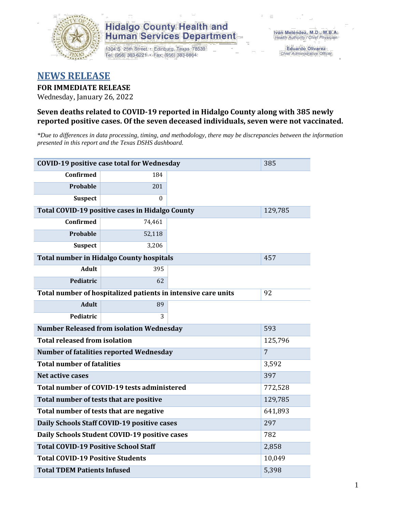

1304 S. 25th Street · Edinburg, Texas 78539 Tel: (956) 383-6221 · Fax: (956) 383-8864

**Eduardo Olivarez** Chief Administrative Officer

### **NEWS RELEASE**

#### **FOR IMMEDIATE RELEASE**

Wednesday, January 26, 2022

#### **Seven deaths related to COVID-19 reported in Hidalgo County along with 385 newly reported positive cases. Of the seven deceased individuals, seven were not vaccinated.**

*\*Due to differences in data processing, timing, and methodology, there may be discrepancies between the information presented in this report and the Texas DSHS dashboard.*

| <b>COVID-19 positive case total for Wednesday</b>             | 385                                                    |         |                |
|---------------------------------------------------------------|--------------------------------------------------------|---------|----------------|
| <b>Confirmed</b>                                              | 184                                                    |         |                |
| Probable                                                      | 201                                                    |         |                |
| <b>Suspect</b>                                                | 0                                                      |         |                |
|                                                               | <b>Total COVID-19 positive cases in Hidalgo County</b> |         | 129,785        |
| <b>Confirmed</b>                                              | 74,461                                                 |         |                |
| <b>Probable</b>                                               | 52,118                                                 |         |                |
| <b>Suspect</b>                                                |                                                        |         |                |
| <b>Total number in Hidalgo County hospitals</b>               | 457                                                    |         |                |
| <b>Adult</b>                                                  | 395                                                    |         |                |
| Pediatric                                                     | 62                                                     |         |                |
| Total number of hospitalized patients in intensive care units | 92                                                     |         |                |
| <b>Adult</b>                                                  | 89                                                     |         |                |
| Pediatric                                                     |                                                        |         |                |
| <b>Number Released from isolation Wednesday</b>               |                                                        | 593     |                |
| <b>Total released from isolation</b>                          |                                                        | 125,796 |                |
|                                                               | <b>Number of fatalities reported Wednesday</b>         |         | $\overline{7}$ |
| <b>Total number of fatalities</b>                             |                                                        |         | 3,592          |
| Net active cases                                              |                                                        |         | 397            |
|                                                               | Total number of COVID-19 tests administered            |         | 772,528        |
| Total number of tests that are positive                       |                                                        |         | 129,785        |
| Total number of tests that are negative                       | 641,893                                                |         |                |
|                                                               | Daily Schools Staff COVID-19 positive cases            |         | 297            |
|                                                               | Daily Schools Student COVID-19 positive cases          |         | 782            |
| <b>Total COVID-19 Positive School Staff</b>                   |                                                        |         | 2,858          |
| <b>Total COVID-19 Positive Students</b>                       |                                                        |         | 10,049         |
| <b>Total TDEM Patients Infused</b>                            | 5,398                                                  |         |                |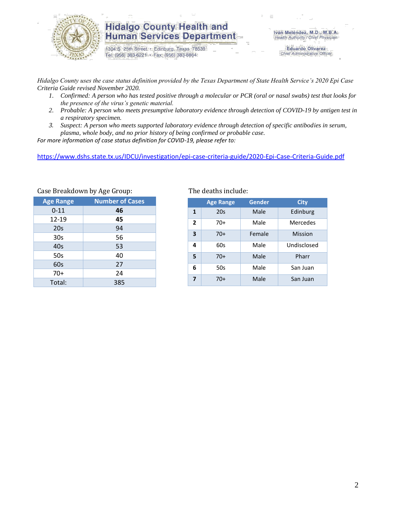

1304 S. 25th Street · Edinburg, Texas 78539 Tel: (956) 383-6221 · Fax: (956) 383-8864

**Eduardo Olivarez** Chief Administrative Officer

*Hidalgo County uses the case status definition provided by the Texas Department of State Health Service's 2020 Epi Case Criteria Guide revised November 2020.*

- *1. Confirmed: A person who has tested positive through a molecular or PCR (oral or nasal swabs) test that looks for the presence of the virus's genetic material.*
- *2. Probable: A person who meets presumptive laboratory evidence through detection of COVID-19 by antigen test in a respiratory specimen.*
- *3. Suspect: A person who meets supported laboratory evidence through detection of specific antibodies in serum, plasma, whole body, and no prior history of being confirmed or probable case.*

*For more information of case status definition for COVID-19, please refer to:*

<https://www.dshs.state.tx.us/IDCU/investigation/epi-case-criteria-guide/2020-Epi-Case-Criteria-Guide.pdf>

| $\frac{1}{2}$                              |     |  |  |  |  |  |  |
|--------------------------------------------|-----|--|--|--|--|--|--|
| <b>Number of Cases</b><br><b>Age Range</b> |     |  |  |  |  |  |  |
| $0 - 11$                                   | 46  |  |  |  |  |  |  |
| 12-19                                      | 45  |  |  |  |  |  |  |
| 20s                                        | 94  |  |  |  |  |  |  |
| 30s                                        | 56  |  |  |  |  |  |  |
| 40s                                        | 53  |  |  |  |  |  |  |
| 50s                                        | 40  |  |  |  |  |  |  |
| 60s                                        | 27  |  |  |  |  |  |  |
| $70+$                                      | 24  |  |  |  |  |  |  |
| Total:                                     | 385 |  |  |  |  |  |  |

Case Breakdown by Age Group: The deaths include:

|                         | <b>Age Range</b> | Gender | City        |
|-------------------------|------------------|--------|-------------|
| $\mathbf{1}$            | 20s              | Male   | Edinburg    |
| $\overline{2}$          | $70+$            | Male   | Mercedes    |
| $\overline{\mathbf{3}}$ | $70+$            | Female | Mission     |
| 4                       | 60s              | Male   | Undisclosed |
| 5                       | $70+$            | Male   | Pharr       |
| 6                       | 50s              | Male   | San Juan    |
| 7                       | $70+$            | Male   | San Juan    |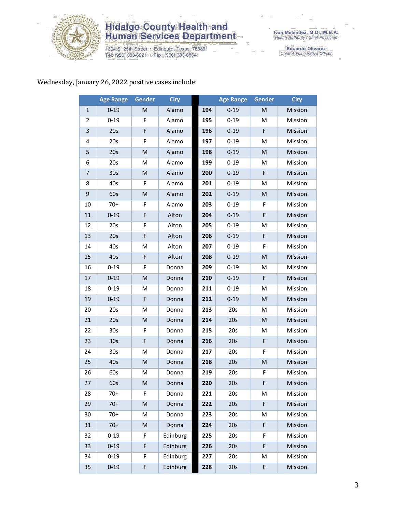

1304 S. 25th Street · Edinburg, Texas 78539<br>Tel: (956) 383-6221 · Fax: (956) 383-8864

Iván Meléndez, M.D., M.B.A.<br>Health Authority / Chief Physician

Eduardo Olivarez<br>Chief Administrative Officer

### Wednesday, January 26, 2022 positive cases include:

|                | <b>Age Range</b> | Gender      | <b>City</b> |     | <b>Age Range</b> | Gender | <b>City</b> |
|----------------|------------------|-------------|-------------|-----|------------------|--------|-------------|
| 1              | $0 - 19$         | M           | Alamo       | 194 | $0 - 19$         | M      | Mission     |
| 2              | $0 - 19$         | F           | Alamo       | 195 | $0 - 19$         | M      | Mission     |
| 3              | 20s              | F           | Alamo       | 196 | $0 - 19$         | F      | Mission     |
| 4              | 20s              | F           | Alamo       | 197 | $0 - 19$         | м      | Mission     |
| 5              | 20s              | M           | Alamo       | 198 | $0 - 19$         | M      | Mission     |
| 6              | 20s              | M           | Alamo       | 199 | $0 - 19$         | M      | Mission     |
| $\overline{7}$ | 30 <sub>s</sub>  | M           | Alamo       | 200 | $0 - 19$         | F      | Mission     |
| 8              | 40s              | F           | Alamo       | 201 | $0 - 19$         | M      | Mission     |
| 9              | 60s              | M           | Alamo       | 202 | $0 - 19$         | M      | Mission     |
| 10             | $70+$            | F           | Alamo       | 203 | $0 - 19$         | F      | Mission     |
| $11\,$         | $0 - 19$         | F           | Alton       | 204 | $0 - 19$         | F      | Mission     |
| 12             | 20s              | F           | Alton       | 205 | $0 - 19$         | M      | Mission     |
| 13             | 20s              | F           | Alton       | 206 | $0 - 19$         | F      | Mission     |
| 14             | 40s              | M           | Alton       | 207 | $0 - 19$         | F      | Mission     |
| 15             | 40s              | $\mathsf F$ | Alton       | 208 | $0 - 19$         | M      | Mission     |
| 16             | $0 - 19$         | F           | Donna       | 209 | $0 - 19$         | M      | Mission     |
| 17             | $0 - 19$         | M           | Donna       | 210 | $0 - 19$         | F      | Mission     |
| 18             | $0 - 19$         | M           | Donna       | 211 | $0 - 19$         | M      | Mission     |
| 19             | $0 - 19$         | $\mathsf F$ | Donna       | 212 | $0 - 19$         | M      | Mission     |
| 20             | 20s              | M           | Donna       | 213 | 20s              | M      | Mission     |
| 21             | 20s              | M           | Donna       | 214 | 20s              | M      | Mission     |
| 22             | 30 <sub>s</sub>  | F           | Donna       | 215 | 20s              | M      | Mission     |
| 23             | 30 <sub>s</sub>  | F           | Donna       | 216 | 20s              | F      | Mission     |
| 24             | 30 <sub>s</sub>  | M           | Donna       | 217 | 20s              | F      | Mission     |
| 25             | 40s              | M           | Donna       | 218 | 20s              | M      | Mission     |
| 26             | 60s              | M           | Donna       | 219 | 20s              | F      | Mission     |
| 27             | 60s              | M           | Donna       | 220 | 20s              | F      | Mission     |
| 28             | 70+              | F           | Donna       | 221 | 20s              | м      | Mission     |
| 29             | $70+$            | M           | Donna       | 222 | 20s              | F      | Mission     |
| 30             | $70+$            | M           | Donna       | 223 | 20s              | M      | Mission     |
| 31             | $70+$            | M           | Donna       | 224 | 20s              | F      | Mission     |
| 32             | $0 - 19$         | F           | Edinburg    | 225 | 20s              | F      | Mission     |
| 33             | $0 - 19$         | F           | Edinburg    | 226 | 20s              | F      | Mission     |
| 34             | $0 - 19$         | F           | Edinburg    | 227 | 20s              | M      | Mission     |
| 35             | $0 - 19$         | F           | Edinburg    | 228 | 20s              | F      | Mission     |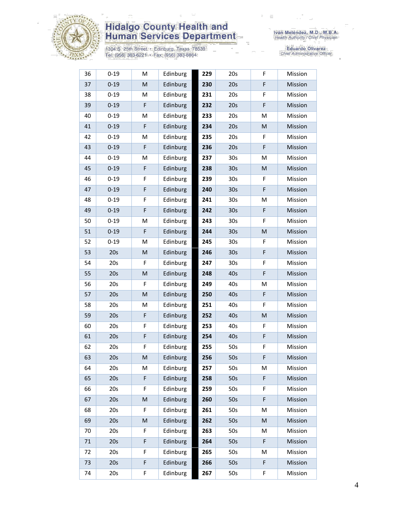

1304 S. 25th Street • Edinburg, Texas 78539<br>Tel: (956) 383-6221 • Fax: (956) 383-8864

| 36 | $0 - 19$ | M                                                                                                          | Edinburg | 229 | 20s             | F | Mission |
|----|----------|------------------------------------------------------------------------------------------------------------|----------|-----|-----------------|---|---------|
| 37 | $0 - 19$ | M                                                                                                          | Edinburg | 230 | 20s             | F | Mission |
| 38 | $0 - 19$ | M                                                                                                          | Edinburg | 231 | 20s             | F | Mission |
| 39 | $0 - 19$ | F                                                                                                          | Edinburg | 232 | 20s             | F | Mission |
| 40 | $0 - 19$ | M                                                                                                          | Edinburg | 233 | 20s             | M | Mission |
| 41 | $0 - 19$ | $\mathsf F$                                                                                                | Edinburg | 234 | 20s             | M | Mission |
| 42 | $0 - 19$ | M                                                                                                          | Edinburg | 235 | 20s             | F | Mission |
| 43 | $0 - 19$ | F                                                                                                          | Edinburg | 236 | 20s             | F | Mission |
| 44 | $0 - 19$ | M                                                                                                          | Edinburg | 237 | 30 <sub>s</sub> | M | Mission |
| 45 | $0 - 19$ | F                                                                                                          | Edinburg | 238 | 30 <sub>s</sub> | M | Mission |
| 46 | $0 - 19$ | F                                                                                                          | Edinburg | 239 | 30 <sub>s</sub> | F | Mission |
| 47 | $0 - 19$ | F                                                                                                          | Edinburg | 240 | 30 <sub>s</sub> | F | Mission |
| 48 | $0 - 19$ | F                                                                                                          | Edinburg | 241 | 30 <sub>s</sub> | M | Mission |
| 49 | $0 - 19$ | F                                                                                                          | Edinburg | 242 | 30 <sub>s</sub> | F | Mission |
| 50 | $0 - 19$ | M                                                                                                          | Edinburg | 243 | 30 <sub>s</sub> | F | Mission |
| 51 | $0 - 19$ | F                                                                                                          | Edinburg | 244 | 30 <sub>s</sub> | M | Mission |
| 52 | $0 - 19$ | M                                                                                                          | Edinburg | 245 | 30s             | F | Mission |
| 53 | 20s      | M                                                                                                          | Edinburg | 246 | 30 <sub>s</sub> | F | Mission |
| 54 | 20s      | F                                                                                                          | Edinburg | 247 | 30 <sub>s</sub> | F | Mission |
| 55 | 20s      | M                                                                                                          | Edinburg | 248 | 40s             | F | Mission |
| 56 | 20s      | F                                                                                                          | Edinburg | 249 | 40s             | M | Mission |
| 57 | 20s      | $\mathsf{M}% _{T}=\mathsf{M}_{T}\!\left( a,b\right) ,\ \mathsf{M}_{T}=\mathsf{M}_{T}\!\left( a,b\right) ,$ | Edinburg | 250 | 40s             | F | Mission |
| 58 | 20s      | M                                                                                                          | Edinburg | 251 | 40s             | F | Mission |
| 59 | 20s      | F                                                                                                          | Edinburg | 252 | 40s             | M | Mission |
| 60 | 20s      | F                                                                                                          | Edinburg | 253 | 40s             | F | Mission |
| 61 | 20s      | F                                                                                                          | Edinburg | 254 | 40s             | F | Mission |
| 62 | 20s      | F                                                                                                          | Edinburg | 255 | 50s             | F | Mission |
| 63 | 20s      | M                                                                                                          | Edinburg | 256 | 50s             | F | Mission |
| 64 | 20s      | M                                                                                                          | Edinburg | 257 | 50s             | M | Mission |
| 65 | 20s      | $\mathsf F$                                                                                                | Edinburg | 258 | 50s             | F | Mission |
| 66 | 20s      | F                                                                                                          | Edinburg | 259 | 50s             | F | Mission |
| 67 | 20s      | M                                                                                                          | Edinburg | 260 | 50s             | F | Mission |
| 68 | 20s      | F                                                                                                          | Edinburg | 261 | 50s             | M | Mission |
| 69 | 20s      | M                                                                                                          | Edinburg | 262 | 50s             | M | Mission |
| 70 | 20s      | F                                                                                                          | Edinburg | 263 | 50s             | M | Mission |
| 71 | 20s      | F                                                                                                          | Edinburg | 264 | 50s             | F | Mission |
| 72 | 20s      | F                                                                                                          | Edinburg | 265 | 50s             | M | Mission |
| 73 | 20s      | F                                                                                                          | Edinburg | 266 | 50s             | F | Mission |
| 74 | 20s      | F                                                                                                          | Edinburg | 267 | 50s             | F | Mission |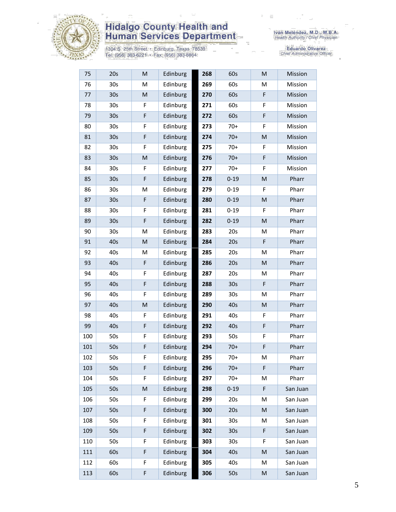

1304 S. 25th Street • Edinburg, Texas 78539<br>Tel: (956) 383-6221 • Fax: (956) 383-8864

| 75  | 20s             | M           | Edinburg | 268 | 60s             | M         | Mission  |
|-----|-----------------|-------------|----------|-----|-----------------|-----------|----------|
| 76  | 30s             | M           | Edinburg | 269 | 60s             | M         | Mission  |
| 77  | 30 <sub>s</sub> | M           | Edinburg | 270 | 60s             | F         | Mission  |
| 78  | 30s             | F           | Edinburg | 271 | 60s             | F         | Mission  |
| 79  | 30 <sub>s</sub> | F           | Edinburg | 272 | 60s             | F         | Mission  |
| 80  | 30 <sub>s</sub> | F           | Edinburg | 273 | $70+$           | F         | Mission  |
| 81  | 30 <sub>s</sub> | F           | Edinburg | 274 | $70+$           | M         | Mission  |
| 82  | 30 <sub>s</sub> | F           | Edinburg | 275 | $70+$           | F         | Mission  |
| 83  | 30 <sub>s</sub> | M           | Edinburg | 276 | $70+$           | F         | Mission  |
| 84  | 30 <sub>s</sub> | F           | Edinburg | 277 | $70+$           | F         | Mission  |
| 85  | 30 <sub>s</sub> | F           | Edinburg | 278 | $0 - 19$        | M         | Pharr    |
| 86  | 30s             | M           | Edinburg | 279 | $0 - 19$        | F         | Pharr    |
| 87  | 30 <sub>s</sub> | F           | Edinburg | 280 | $0 - 19$        | M         | Pharr    |
| 88  | 30s             | F           | Edinburg | 281 | $0 - 19$        | F         | Pharr    |
| 89  | 30 <sub>s</sub> | F           | Edinburg | 282 | $0 - 19$        | M         | Pharr    |
| 90  | 30 <sub>s</sub> | M           | Edinburg | 283 | 20s             | M         | Pharr    |
| 91  | 40s             | M           | Edinburg | 284 | 20s             | F         | Pharr    |
| 92  | 40s             | M           | Edinburg | 285 | 20s             | м         | Pharr    |
| 93  | 40s             | $\mathsf F$ | Edinburg | 286 | 20s             | M         | Pharr    |
| 94  | 40s             | F           | Edinburg | 287 | 20s             | M         | Pharr    |
| 95  | 40s             | F           | Edinburg | 288 | 30 <sub>s</sub> | F         | Pharr    |
| 96  | 40s             | F           | Edinburg | 289 | 30 <sub>s</sub> | M         | Pharr    |
| 97  | 40s             | M           | Edinburg | 290 | 40s             | ${\sf M}$ | Pharr    |
| 98  | 40s             | F           | Edinburg | 291 | 40s             | F         | Pharr    |
| 99  | 40s             | F           | Edinburg | 292 | 40s             | F         | Pharr    |
| 100 | 50s             | F           | Edinburg | 293 | 50s             | F         | Pharr    |
| 101 | 50s             | F           | Edinburg | 294 | $70+$           | F         | Pharr    |
| 102 | 50s             | F           | Edinburg | 295 | $70+$           | M         | Pharr    |
| 103 | 50s             | F           | Edinburg | 296 | $70+$           | F         | Pharr    |
| 104 | 50s             | F           | Edinburg | 297 | $70+$           | М         | Pharr    |
| 105 | 50s             | ${\sf M}$   | Edinburg | 298 | $0 - 19$        | F         | San Juan |
| 106 | 50s             | F           | Edinburg | 299 | 20s             | м         | San Juan |
| 107 | 50s             | F           | Edinburg | 300 | 20s             | M         | San Juan |
| 108 | 50s             | F           | Edinburg | 301 | 30 <sub>s</sub> | M         | San Juan |
| 109 | 50s             | F           | Edinburg | 302 | 30 <sub>s</sub> | F         | San Juan |
| 110 | 50s             | F           | Edinburg | 303 | 30 <sub>s</sub> | F         | San Juan |
| 111 | 60s             | F           | Edinburg | 304 | 40s             | M         | San Juan |
| 112 | 60s             | F           | Edinburg | 305 | 40s             | M         | San Juan |
| 113 | 60s             | F           | Edinburg | 306 | 50s             | M         | San Juan |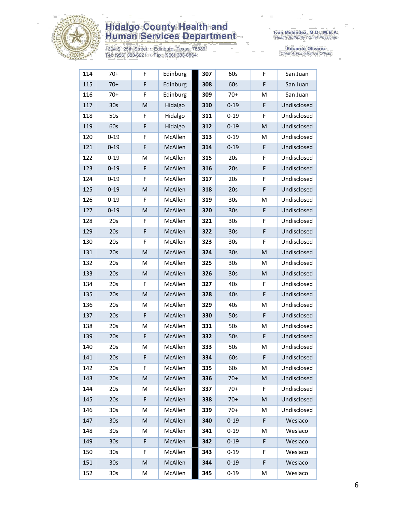

1304 S. 25th Street • Edinburg, Texas 78539<br>Tel: (956) 383-6221 • Fax: (956) 383-8864

| 114 | $70+$           | F | Edinburg | 307 | 60s             | F | San Juan    |
|-----|-----------------|---|----------|-----|-----------------|---|-------------|
| 115 | $70+$           | F | Edinburg | 308 | 60s             | F | San Juan    |
| 116 | $70+$           | F | Edinburg | 309 | $70+$           | M | San Juan    |
| 117 | 30 <sub>s</sub> | M | Hidalgo  | 310 | $0 - 19$        | F | Undisclosed |
| 118 | 50s             | F | Hidalgo  | 311 | $0 - 19$        | F | Undisclosed |
| 119 | 60s             | F | Hidalgo  | 312 | $0 - 19$        | M | Undisclosed |
| 120 | $0 - 19$        | F | McAllen  | 313 | $0 - 19$        | M | Undisclosed |
| 121 | $0 - 19$        | F | McAllen  | 314 | $0 - 19$        | F | Undisclosed |
| 122 | $0 - 19$        | M | McAllen  | 315 | 20s             | F | Undisclosed |
| 123 | $0 - 19$        | F | McAllen  | 316 | 20s             | F | Undisclosed |
| 124 | $0 - 19$        | F | McAllen  | 317 | 20s             | F | Undisclosed |
| 125 | $0 - 19$        | M | McAllen  | 318 | 20s             | F | Undisclosed |
| 126 | $0 - 19$        | F | McAllen  | 319 | 30 <sub>s</sub> | M | Undisclosed |
| 127 | $0 - 19$        | M | McAllen  | 320 | 30 <sub>s</sub> | F | Undisclosed |
| 128 | 20s             | F | McAllen  | 321 | 30 <sub>s</sub> | F | Undisclosed |
| 129 | 20s             | F | McAllen  | 322 | 30 <sub>s</sub> | F | Undisclosed |
| 130 | 20s             | F | McAllen  | 323 | 30 <sub>s</sub> | F | Undisclosed |
| 131 | 20s             | M | McAllen  | 324 | 30 <sub>s</sub> | M | Undisclosed |
| 132 | 20s             | M | McAllen  | 325 | 30 <sub>s</sub> | M | Undisclosed |
| 133 | 20s             | M | McAllen  | 326 | 30 <sub>s</sub> | M | Undisclosed |
| 134 | 20s             | F | McAllen  | 327 | 40s             | F | Undisclosed |
| 135 | 20s             | M | McAllen  | 328 | 40s             | F | Undisclosed |
| 136 | 20s             | M | McAllen  | 329 | 40s             | M | Undisclosed |
| 137 | 20s             | F | McAllen  | 330 | 50s             | F | Undisclosed |
| 138 | 20s             | M | McAllen  | 331 | 50s             | M | Undisclosed |
| 139 | 20s             | F | McAllen  | 332 | 50s             | F | Undisclosed |
| 140 | 20s             | Μ | McAllen  | 333 | 50s             | M | Undisclosed |
| 141 | 20s             | F | McAllen  | 334 | 60s             | F | Undisclosed |
| 142 | 20s             | F | McAllen  | 335 | 60s             | M | Undisclosed |
| 143 | 20s             | M | McAllen  | 336 | $70+$           | M | Undisclosed |
| 144 | 20s             | Μ | McAllen  | 337 | $70+$           | F | Undisclosed |
| 145 | 20s             | F | McAllen  | 338 | $70+$           | M | Undisclosed |
| 146 | 30s             | M | McAllen  | 339 | $70+$           | M | Undisclosed |
| 147 | 30 <sub>s</sub> | M | McAllen  | 340 | $0 - 19$        | F | Weslaco     |
| 148 | 30s             | M | McAllen  | 341 | $0 - 19$        | M | Weslaco     |
| 149 | 30 <sub>s</sub> | F | McAllen  | 342 | $0 - 19$        | F | Weslaco     |
| 150 | 30s             | F | McAllen  | 343 | $0 - 19$        | F | Weslaco     |
| 151 | 30 <sub>s</sub> | M | McAllen  | 344 | $0 - 19$        | F | Weslaco     |
| 152 | 30s             | Μ | McAllen  | 345 | $0 - 19$        | M | Weslaco     |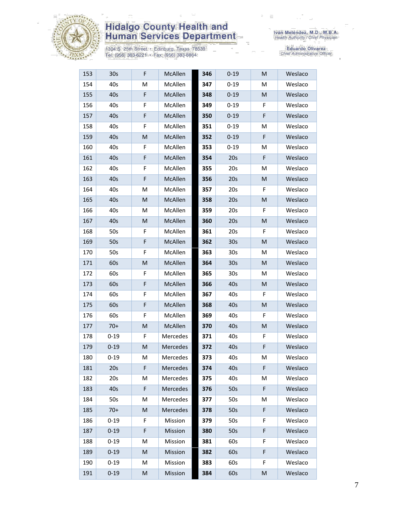

1304 S. 25th Street • Edinburg, Texas 78539<br>Tel: (956) 383-6221 • Fax: (956) 383-8864

| 153 | 30 <sub>s</sub> | F | McAllen  | 346 | $0 - 19$        | M | Weslaco |
|-----|-----------------|---|----------|-----|-----------------|---|---------|
| 154 | 40s             | M | McAllen  | 347 | $0 - 19$        | M | Weslaco |
| 155 | 40s             | F | McAllen  | 348 | $0 - 19$        | M | Weslaco |
| 156 | 40s             | F | McAllen  | 349 | $0 - 19$        | F | Weslaco |
| 157 | 40s             | F | McAllen  | 350 | $0 - 19$        | F | Weslaco |
| 158 | 40s             | F | McAllen  | 351 | $0 - 19$        | м | Weslaco |
| 159 | 40s             | M | McAllen  | 352 | $0 - 19$        | F | Weslaco |
| 160 | 40s             | F | McAllen  | 353 | $0 - 19$        | м | Weslaco |
| 161 | 40s             | F | McAllen  | 354 | 20s             | F | Weslaco |
| 162 | 40s             | F | McAllen  | 355 | 20s             | M | Weslaco |
| 163 | 40s             | F | McAllen  | 356 | 20s             | M | Weslaco |
| 164 | 40s             | M | McAllen  | 357 | 20s             | F | Weslaco |
| 165 | 40s             | M | McAllen  | 358 | 20s             | M | Weslaco |
| 166 | 40s             | М | McAllen  | 359 | 20s             | F | Weslaco |
| 167 | 40s             | M | McAllen  | 360 | 20s             | M | Weslaco |
| 168 | 50s             | F | McAllen  | 361 | 20s             | F | Weslaco |
| 169 | 50s             | F | McAllen  | 362 | 30s             | M | Weslaco |
| 170 | 50s             | F | McAllen  | 363 | 30s             | M | Weslaco |
| 171 | 60s             | M | McAllen  | 364 | 30 <sub>s</sub> | M | Weslaco |
| 172 | 60s             | F | McAllen  | 365 | 30s             | м | Weslaco |
| 173 | 60s             | F | McAllen  | 366 | 40s             | M | Weslaco |
| 174 | 60s             | F | McAllen  | 367 | 40s             | F | Weslaco |
| 175 | 60s             | F | McAllen  | 368 | 40s             | M | Weslaco |
| 176 | 60s             | F | McAllen  | 369 | 40s             | F | Weslaco |
| 177 | $70+$           | M | McAllen  | 370 | 40s             | M | Weslaco |
| 178 | $0 - 19$        | F | Mercedes | 371 | 40s             | F | Weslaco |
| 179 | $0 - 19$        | M | Mercedes | 372 | 40s             | F | Weslaco |
| 180 | $0 - 19$        | M | Mercedes | 373 | 40s             | M | Weslaco |
| 181 | 20s             | F | Mercedes | 374 | 40s             | F | Weslaco |
| 182 | 20s             | M | Mercedes | 375 | 40s             | M | Weslaco |
| 183 | 40s             | F | Mercedes | 376 | 50s             | F | Weslaco |
| 184 | 50s             | M | Mercedes | 377 | 50s             | м | Weslaco |
| 185 | $70+$           | M | Mercedes | 378 | 50s             | F | Weslaco |
| 186 | $0 - 19$        | F | Mission  | 379 | 50s             | F | Weslaco |
| 187 | $0 - 19$        | F | Mission  | 380 | 50s             | F | Weslaco |
| 188 | $0 - 19$        | M | Mission  | 381 | 60s             | F | Weslaco |
| 189 | $0 - 19$        | M | Mission  | 382 | 60s             | F | Weslaco |
| 190 | $0 - 19$        | М | Mission  | 383 | 60s             | F | Weslaco |
| 191 | $0 - 19$        | M | Mission  | 384 | 60s             | M | Weslaco |